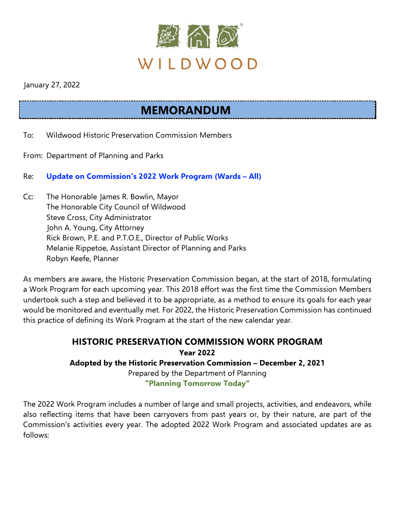

January 27, 2022

## **MEMORANDUM**

- To: Wildwood Historic Preservation Commission Members
- From: Department of Planning and Parks
- Re: **Update on Commission's 2022 Work Program (Wards – All)**
- Cc: The Honorable James R. Bowlin, Mayor The Honorable City Council of Wildwood Steve Cross, City Administrator John A. Young, City Attorney Rick Brown, P.E. and P.T.O.E., Director of Public Works Melanie Rippetoe, Assistant Director of Planning and Parks Robyn Keefe, Planner

As members are aware, the Historic Preservation Commission began, at the start of 2018, formulating a Work Program for each upcoming year. This 2018 effort was the first time the Commission Members undertook such a step and believed it to be appropriate, as a method to ensure its goals for each year would be monitored and eventually met. For 2022, the Historic Preservation Commission has continued this practice of defining its Work Program at the start of the new calendar year.

> **HISTORIC PRESERVATION COMMISSION WORK PROGRAM Year 2022 Adopted by the Historic Preservation Commission – December 2, 2021** Prepared by the Department of Planning **"Planning Tomorrow Today"**

The 2022 Work Program includes a number of large and small projects, activities, and endeavors, while also reflecting items that have been carryovers from past years or, by their nature, are part of the Commission's activities every year. The adopted 2022 Work Program and associated updates are as follows: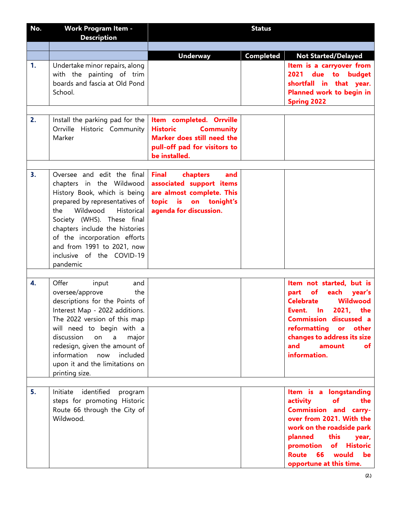| No. | <b>Work Program Item -</b><br><b>Description</b>                                                                                                                                                                                                                                                                                                  | <b>Status</b>                                                                                                                               |           |                                                                                                                                                                                                                                                               |
|-----|---------------------------------------------------------------------------------------------------------------------------------------------------------------------------------------------------------------------------------------------------------------------------------------------------------------------------------------------------|---------------------------------------------------------------------------------------------------------------------------------------------|-----------|---------------------------------------------------------------------------------------------------------------------------------------------------------------------------------------------------------------------------------------------------------------|
|     |                                                                                                                                                                                                                                                                                                                                                   |                                                                                                                                             |           |                                                                                                                                                                                                                                                               |
|     |                                                                                                                                                                                                                                                                                                                                                   | <b>Underway</b>                                                                                                                             | Completed | <b>Not Started/Delayed</b>                                                                                                                                                                                                                                    |
| 1.  | Undertake minor repairs, along<br>with the painting of trim<br>boards and fascia at Old Pond<br>School.                                                                                                                                                                                                                                           |                                                                                                                                             |           | Item is a carryover from<br>due to budget<br>2021<br>shortfall in that year.<br>Planned work to begin in<br><b>Spring 2022</b>                                                                                                                                |
| 2.  | Install the parking pad for the                                                                                                                                                                                                                                                                                                                   | Item completed. Orrville                                                                                                                    |           |                                                                                                                                                                                                                                                               |
|     | Orrville Historic Community<br>Marker                                                                                                                                                                                                                                                                                                             | <b>Historic</b><br><b>Community</b><br>Marker does still need the<br>pull-off pad for visitors to<br>be installed.                          |           |                                                                                                                                                                                                                                                               |
|     |                                                                                                                                                                                                                                                                                                                                                   |                                                                                                                                             |           |                                                                                                                                                                                                                                                               |
| 3.  | Oversee and edit the final<br>chapters in the Wildwood<br>History Book, which is being<br>prepared by representatives of<br>the Wildwood<br><b>Historical</b><br>Society (WHS). These final<br>chapters include the histories<br>of the incorporation efforts<br>and from 1991 to 2021, now<br>inclusive of the COVID-19<br>pandemic              | <b>Final</b><br>chapters<br>and<br>associated support items<br>are almost complete. This<br>topic is on tonight's<br>agenda for discussion. |           |                                                                                                                                                                                                                                                               |
|     |                                                                                                                                                                                                                                                                                                                                                   |                                                                                                                                             |           |                                                                                                                                                                                                                                                               |
| 4.  | Offer<br>input<br>and<br>the<br>oversee/approve<br>descriptions for the Points of<br>Interest Map - 2022 additions.<br>The 2022 version of this map<br>will need to begin with a<br>discussion<br>on<br>$\mathsf{a}$<br>major<br>redesign, given the amount of<br>information now<br>included<br>upon it and the limitations on<br>printing size. |                                                                                                                                             |           | Item not started, but is<br>each<br>part<br>of<br>year's<br>Wildwood<br><b>Celebrate</b><br>Event. In 2021, the<br><b>Commission discussed a</b><br>reformatting<br>or other<br>changes to address its size<br>and<br>amount<br>of<br>information.            |
|     |                                                                                                                                                                                                                                                                                                                                                   |                                                                                                                                             |           |                                                                                                                                                                                                                                                               |
| 5.  | Initiate identified<br>program<br>steps for promoting Historic<br>Route 66 through the City of<br>Wildwood.                                                                                                                                                                                                                                       |                                                                                                                                             |           | Item is a longstanding<br>activity<br>of<br>the<br><b>Commission and carry-</b><br>over from 2021. With the<br>work on the roadside park<br>planned<br>this<br>year,<br>promotion<br>of<br><b>Historic</b><br>66 would be<br>Route<br>opportune at this time. |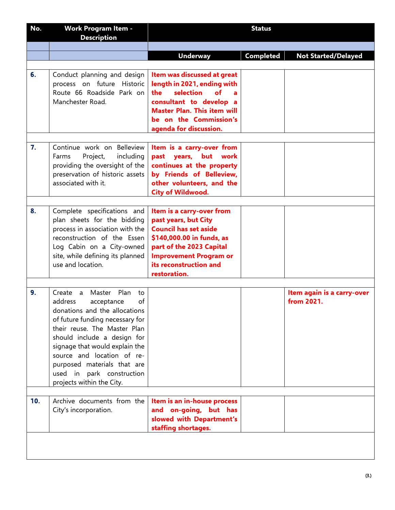| No. | <b>Work Program Item -</b><br><b>Description</b>                                                                                                                                                                                                                                                                                                      | <b>Status</b>                                                                                                                                                                                                         |           |                                          |
|-----|-------------------------------------------------------------------------------------------------------------------------------------------------------------------------------------------------------------------------------------------------------------------------------------------------------------------------------------------------------|-----------------------------------------------------------------------------------------------------------------------------------------------------------------------------------------------------------------------|-----------|------------------------------------------|
|     |                                                                                                                                                                                                                                                                                                                                                       |                                                                                                                                                                                                                       |           |                                          |
|     |                                                                                                                                                                                                                                                                                                                                                       | <b>Underway</b>                                                                                                                                                                                                       | Completed | <b>Not Started/Delayed</b>               |
| 6.  | Conduct planning and design<br>process on future Historic<br>Route 66 Roadside Park on<br>Manchester Road.                                                                                                                                                                                                                                            | Item was discussed at great<br>length in 2021, ending with<br>selection<br>the<br>$\mathbf{f}$<br>consultant to develop a<br><b>Master Plan. This item will</b><br>be on the Commission's<br>agenda for discussion.   |           |                                          |
| 7.  | Continue work on Belleview<br>Project,<br>including<br>Farms<br>providing the oversight of the<br>preservation of historic assets<br>associated with it.                                                                                                                                                                                              | Item is a carry-over from<br>past years, but work<br>continues at the property<br>by Friends of Belleview,<br>other volunteers, and the<br><b>City of Wildwood.</b>                                                   |           |                                          |
| 8.  | Complete specifications and<br>plan sheets for the bidding<br>process in association with the<br>reconstruction of the Essen<br>Log Cabin on a City-owned<br>site, while defining its planned<br>use and location.                                                                                                                                    | Item is a carry-over from<br>past years, but City<br><b>Council has set aside</b><br>\$140,000.00 in funds, as<br>part of the 2023 Capital<br><b>Improvement Program or</b><br>its reconstruction and<br>restoration. |           |                                          |
| 9.  | Create a Master Plan<br>to<br>address<br>of<br>acceptance<br>donations and the allocations<br>of future funding necessary for<br>their reuse. The Master Plan<br>should include a design for<br>signage that would explain the<br>source and location of re-<br>purposed materials that are<br>used in park construction<br>projects within the City. |                                                                                                                                                                                                                       |           | Item again is a carry-over<br>from 2021. |
| 10. | Archive documents from the<br>City's incorporation.                                                                                                                                                                                                                                                                                                   | Item is an in-house process<br>and on-going, but has<br>slowed with Department's<br>staffing shortages.                                                                                                               |           |                                          |
|     |                                                                                                                                                                                                                                                                                                                                                       |                                                                                                                                                                                                                       |           |                                          |